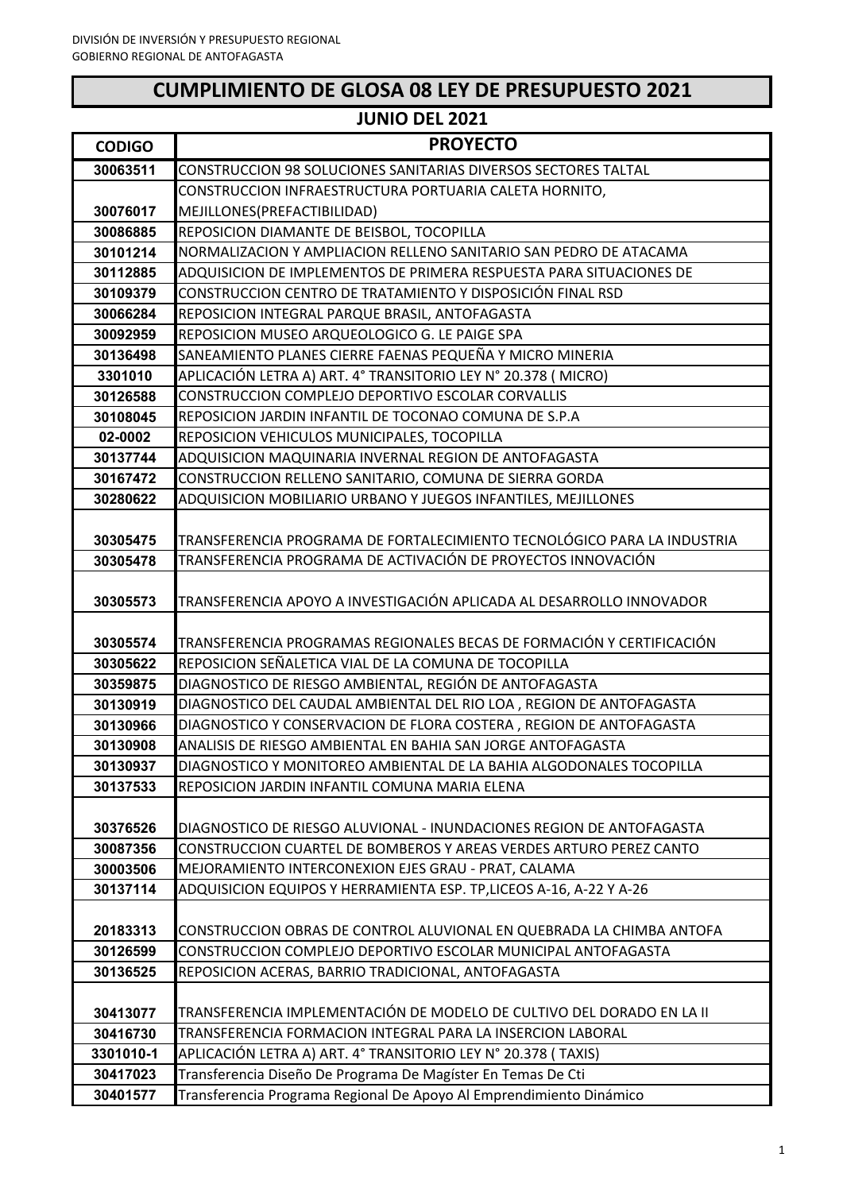## **CUMPLIMIENTO DE GLOSA 08 LEY DE PRESUPUESTO 2021**

| <b>JUNIO DEL 2021</b> |                                                                         |
|-----------------------|-------------------------------------------------------------------------|
| <b>CODIGO</b>         | <b>PROYECTO</b>                                                         |
| 30063511              | CONSTRUCCION 98 SOLUCIONES SANITARIAS DIVERSOS SECTORES TALTAL          |
|                       | CONSTRUCCION INFRAESTRUCTURA PORTUARIA CALETA HORNITO,                  |
| 30076017              | MEJILLONES(PREFACTIBILIDAD)                                             |
| 30086885              | REPOSICION DIAMANTE DE BEISBOL, TOCOPILLA                               |
| 30101214              | NORMALIZACION Y AMPLIACION RELLENO SANITARIO SAN PEDRO DE ATACAMA       |
| 30112885              | ADQUISICION DE IMPLEMENTOS DE PRIMERA RESPUESTA PARA SITUACIONES DE     |
| 30109379              | CONSTRUCCION CENTRO DE TRATAMIENTO Y DISPOSICIÓN FINAL RSD              |
| 30066284              | REPOSICION INTEGRAL PARQUE BRASIL, ANTOFAGASTA                          |
| 30092959              | REPOSICION MUSEO ARQUEOLOGICO G. LE PAIGE SPA                           |
| 30136498              | SANEAMIENTO PLANES CIERRE FAENAS PEQUEÑA Y MICRO MINERIA                |
| 3301010               | APLICACIÓN LETRA A) ART. 4° TRANSITORIO LEY N° 20.378 (MICRO)           |
| 30126588              | CONSTRUCCION COMPLEJO DEPORTIVO ESCOLAR CORVALLIS                       |
| 30108045              | REPOSICION JARDIN INFANTIL DE TOCONAO COMUNA DE S.P.A                   |
| 02-0002               | REPOSICION VEHICULOS MUNICIPALES, TOCOPILLA                             |
| 30137744              | ADQUISICION MAQUINARIA INVERNAL REGION DE ANTOFAGASTA                   |
| 30167472              | CONSTRUCCION RELLENO SANITARIO, COMUNA DE SIERRA GORDA                  |
| 30280622              | ADQUISICION MOBILIARIO URBANO Y JUEGOS INFANTILES, MEJILLONES           |
|                       |                                                                         |
| 30305475              | TRANSFERENCIA PROGRAMA DE FORTALECIMIENTO TECNOLÓGICO PARA LA INDUSTRIA |
| 30305478              | TRANSFERENCIA PROGRAMA DE ACTIVACIÓN DE PROYECTOS INNOVACIÓN            |
|                       | TRANSFERENCIA APOYO A INVESTIGACIÓN APLICADA AL DESARROLLO INNOVADOR    |
| 30305573              |                                                                         |
| 30305574              | TRANSFERENCIA PROGRAMAS REGIONALES BECAS DE FORMACIÓN Y CERTIFICACIÓN   |
| 30305622              | REPOSICION SEÑALETICA VIAL DE LA COMUNA DE TOCOPILLA                    |
| 30359875              | DIAGNOSTICO DE RIESGO AMBIENTAL, REGIÓN DE ANTOFAGASTA                  |
| 30130919              | DIAGNOSTICO DEL CAUDAL AMBIENTAL DEL RIO LOA , REGION DE ANTOFAGASTA    |
| 30130966              | DIAGNOSTICO Y CONSERVACION DE FLORA COSTERA, REGION DE ANTOFAGASTA      |
| 30130908              | ANALISIS DE RIESGO AMBIENTAL EN BAHIA SAN JORGE ANTOFAGASTA             |
| 30130937              | DIAGNOSTICO Y MONITOREO AMBIENTAL DE LA BAHIA ALGODONALES TOCOPILLA     |
| 30137533              | REPOSICION JARDIN INFANTIL COMUNA MARIA ELENA                           |
|                       |                                                                         |
| 30376526              | DIAGNOSTICO DE RIESGO ALUVIONAL - INUNDACIONES REGION DE ANTOFAGASTA    |
| 30087356              | CONSTRUCCION CUARTEL DE BOMBEROS Y AREAS VERDES ARTURO PEREZ CANTO      |
| 30003506              | MEJORAMIENTO INTERCONEXION EJES GRAU - PRAT, CALAMA                     |
| 30137114              | ADQUISICION EQUIPOS Y HERRAMIENTA ESP. TP,LICEOS A-16, A-22 Y A-26      |
|                       |                                                                         |
| 20183313              | CONSTRUCCION OBRAS DE CONTROL ALUVIONAL EN QUEBRADA LA CHIMBA ANTOFA    |
| 30126599              | CONSTRUCCION COMPLEJO DEPORTIVO ESCOLAR MUNICIPAL ANTOFAGASTA           |
| 30136525              | REPOSICION ACERAS, BARRIO TRADICIONAL, ANTOFAGASTA                      |
|                       |                                                                         |
| 30413077              | TRANSFERENCIA IMPLEMENTACIÓN DE MODELO DE CULTIVO DEL DORADO EN LA II   |
| 30416730              | TRANSFERENCIA FORMACION INTEGRAL PARA LA INSERCION LABORAL              |
| 3301010-1             | APLICACIÓN LETRA A) ART. 4° TRANSITORIO LEY N° 20.378 ( TAXIS)          |
| 30417023              | Transferencia Diseño De Programa De Magíster En Temas De Cti            |
| 30401577              | Transferencia Programa Regional De Apoyo Al Emprendimiento Dinámico     |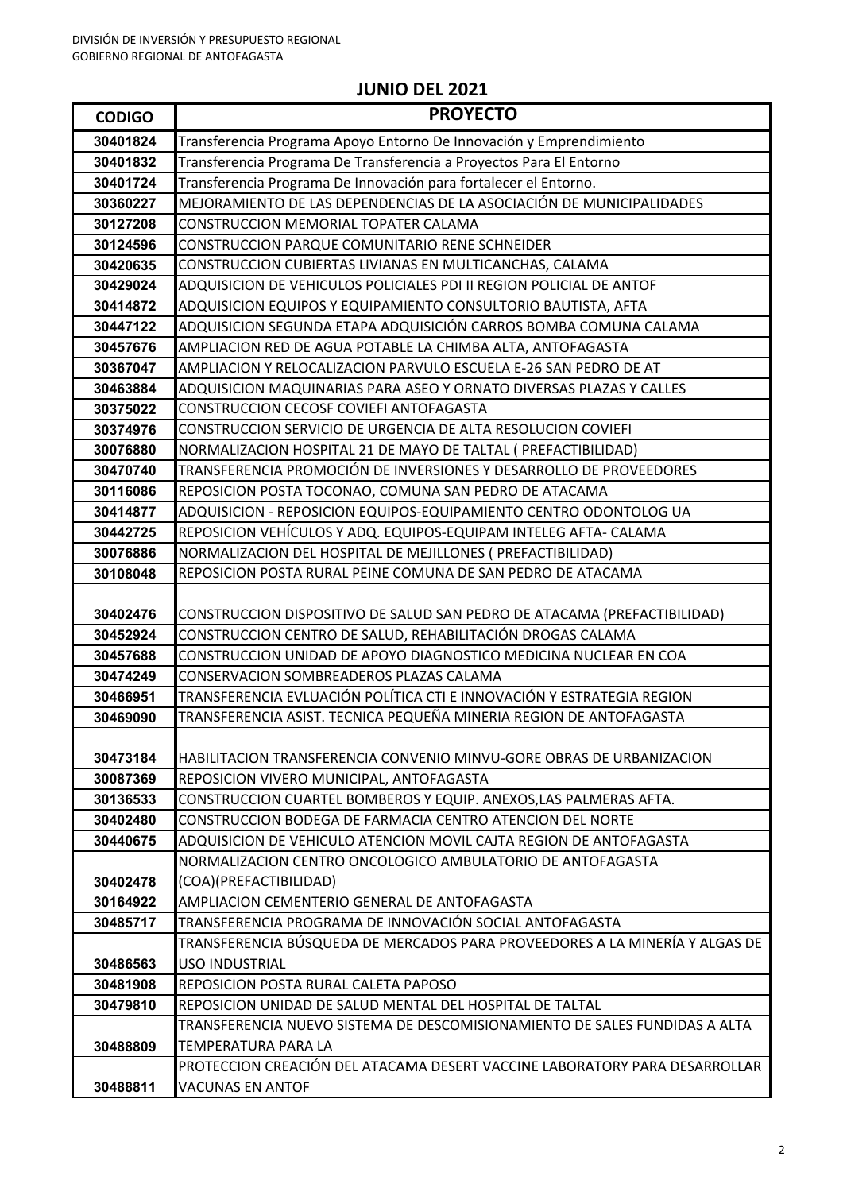| <b>CODIGO</b>        | <b>PROYECTO</b>                                                                                                               |
|----------------------|-------------------------------------------------------------------------------------------------------------------------------|
| 30401824             | Transferencia Programa Apoyo Entorno De Innovación y Emprendimiento                                                           |
| 30401832             | Transferencia Programa De Transferencia a Proyectos Para El Entorno                                                           |
| 30401724             | Transferencia Programa De Innovación para fortalecer el Entorno.                                                              |
| 30360227             | MEJORAMIENTO DE LAS DEPENDENCIAS DE LA ASOCIACIÓN DE MUNICIPALIDADES                                                          |
| 30127208             | CONSTRUCCION MEMORIAL TOPATER CALAMA                                                                                          |
| 30124596             | CONSTRUCCION PARQUE COMUNITARIO RENE SCHNEIDER                                                                                |
| 30420635             | CONSTRUCCION CUBIERTAS LIVIANAS EN MULTICANCHAS, CALAMA                                                                       |
| 30429024             | ADQUISICION DE VEHICULOS POLICIALES PDI II REGION POLICIAL DE ANTOF                                                           |
| 30414872             | ADQUISICION EQUIPOS Y EQUIPAMIENTO CONSULTORIO BAUTISTA, AFTA                                                                 |
| 30447122             | ADQUISICION SEGUNDA ETAPA ADQUISICIÓN CARROS BOMBA COMUNA CALAMA                                                              |
| 30457676             | AMPLIACION RED DE AGUA POTABLE LA CHIMBA ALTA, ANTOFAGASTA                                                                    |
| 30367047             | AMPLIACION Y RELOCALIZACION PARVULO ESCUELA E-26 SAN PEDRO DE AT                                                              |
| 30463884             | ADQUISICION MAQUINARIAS PARA ASEO Y ORNATO DIVERSAS PLAZAS Y CALLES                                                           |
| 30375022             | CONSTRUCCION CECOSF COVIEFI ANTOFAGASTA                                                                                       |
| 30374976             | CONSTRUCCION SERVICIO DE URGENCIA DE ALTA RESOLUCION COVIEFI                                                                  |
| 30076880             | NORMALIZACION HOSPITAL 21 DE MAYO DE TALTAL ( PREFACTIBILIDAD)                                                                |
| 30470740             | TRANSFERENCIA PROMOCIÓN DE INVERSIONES Y DESARROLLO DE PROVEEDORES                                                            |
| 30116086             | REPOSICION POSTA TOCONAO, COMUNA SAN PEDRO DE ATACAMA                                                                         |
| 30414877             | ADQUISICION - REPOSICION EQUIPOS-EQUIPAMIENTO CENTRO ODONTOLOG UA                                                             |
| 30442725             | REPOSICION VEHÍCULOS Y ADQ. EQUIPOS-EQUIPAM INTELEG AFTA- CALAMA                                                              |
| 30076886             | NORMALIZACION DEL HOSPITAL DE MEJILLONES (PREFACTIBILIDAD)                                                                    |
| 30108048             | REPOSICION POSTA RURAL PEINE COMUNA DE SAN PEDRO DE ATACAMA                                                                   |
|                      |                                                                                                                               |
| 30402476             | CONSTRUCCION DISPOSITIVO DE SALUD SAN PEDRO DE ATACAMA (PREFACTIBILIDAD)                                                      |
| 30452924             | CONSTRUCCION CENTRO DE SALUD, REHABILITACIÓN DROGAS CALAMA                                                                    |
| 30457688             | CONSTRUCCION UNIDAD DE APOYO DIAGNOSTICO MEDICINA NUCLEAR EN COA                                                              |
| 30474249             | CONSERVACION SOMBREADEROS PLAZAS CALAMA                                                                                       |
| 30466951             | TRANSFERENCIA EVLUACIÓN POLÍTICA CTI E INNOVACIÓN Y ESTRATEGIA REGION                                                         |
| 30469090             | TRANSFERENCIA ASIST. TECNICA PEQUEÑA MINERIA REGION DE ANTOFAGASTA                                                            |
|                      |                                                                                                                               |
| 30473184             | HABILITACION TRANSFERENCIA CONVENIO MINVU-GORE OBRAS DE URBANIZACION                                                          |
| 30087369             | REPOSICION VIVERO MUNICIPAL, ANTOFAGASTA                                                                                      |
| 30136533<br>30402480 | CONSTRUCCION CUARTEL BOMBEROS Y EQUIP. ANEXOS,LAS PALMERAS AFTA.<br>CONSTRUCCION BODEGA DE FARMACIA CENTRO ATENCION DEL NORTE |
| 30440675             | ADQUISICION DE VEHICULO ATENCION MOVIL CAJTA REGION DE ANTOFAGASTA                                                            |
|                      | NORMALIZACION CENTRO ONCOLOGICO AMBULATORIO DE ANTOFAGASTA                                                                    |
| 30402478             | (COA)(PREFACTIBILIDAD)                                                                                                        |
| 30164922             | AMPLIACION CEMENTERIO GENERAL DE ANTOFAGASTA                                                                                  |
| 30485717             | TRANSFERENCIA PROGRAMA DE INNOVACIÓN SOCIAL ANTOFAGASTA                                                                       |
|                      | TRANSFERENCIA BÚSQUEDA DE MERCADOS PARA PROVEEDORES A LA MINERÍA Y ALGAS DE                                                   |
| 30486563             | <b>USO INDUSTRIAL</b>                                                                                                         |
| 30481908             | REPOSICION POSTA RURAL CALETA PAPOSO                                                                                          |
| 30479810             | REPOSICION UNIDAD DE SALUD MENTAL DEL HOSPITAL DE TALTAL                                                                      |
|                      | TRANSFERENCIA NUEVO SISTEMA DE DESCOMISIONAMIENTO DE SALES FUNDIDAS A ALTA                                                    |
| 30488809             | TEMPERATURA PARA LA                                                                                                           |
|                      | PROTECCION CREACIÓN DEL ATACAMA DESERT VACCINE LABORATORY PARA DESARROLLAR                                                    |
| 30488811             | <b>VACUNAS EN ANTOF</b>                                                                                                       |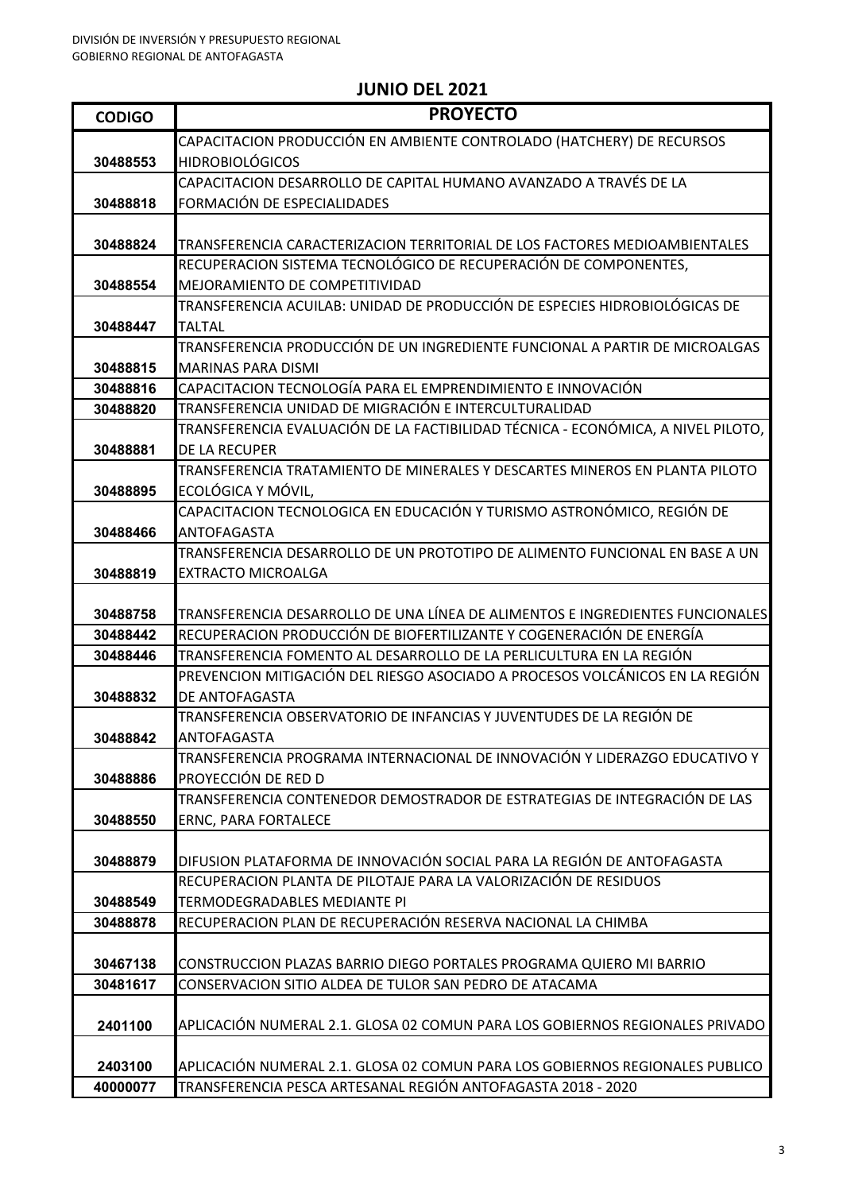| <b>CODIGO</b> | <b>PROYECTO</b>                                                                                              |
|---------------|--------------------------------------------------------------------------------------------------------------|
|               | CAPACITACION PRODUCCIÓN EN AMBIENTE CONTROLADO (HATCHERY) DE RECURSOS                                        |
| 30488553      | <b>HIDROBIOLÓGICOS</b>                                                                                       |
|               | CAPACITACION DESARROLLO DE CAPITAL HUMANO AVANZADO A TRAVÉS DE LA                                            |
| 30488818      | FORMACIÓN DE ESPECIALIDADES                                                                                  |
|               |                                                                                                              |
| 30488824      | TRANSFERENCIA CARACTERIZACION TERRITORIAL DE LOS FACTORES MEDIOAMBIENTALES                                   |
|               | RECUPERACION SISTEMA TECNOLÓGICO DE RECUPERACIÓN DE COMPONENTES,                                             |
| 30488554      | MEJORAMIENTO DE COMPETITIVIDAD<br>TRANSFERENCIA ACUILAB: UNIDAD DE PRODUCCIÓN DE ESPECIES HIDROBIOLÓGICAS DE |
| 30488447      | <b>TALTAL</b>                                                                                                |
|               | TRANSFERENCIA PRODUCCIÓN DE UN INGREDIENTE FUNCIONAL A PARTIR DE MICROALGAS                                  |
| 30488815      | <b>MARINAS PARA DISMI</b>                                                                                    |
| 30488816      | CAPACITACION TECNOLOGÍA PARA EL EMPRENDIMIENTO E INNOVACIÓN                                                  |
| 30488820      | TRANSFERENCIA UNIDAD DE MIGRACIÓN E INTERCULTURALIDAD                                                        |
|               | TRANSFERENCIA EVALUACIÓN DE LA FACTIBILIDAD TÉCNICA - ECONÓMICA, A NIVEL PILOTO,                             |
| 30488881      | DE LA RECUPER                                                                                                |
|               | TRANSFERENCIA TRATAMIENTO DE MINERALES Y DESCARTES MINEROS EN PLANTA PILOTO                                  |
| 30488895      | ECOLÓGICA Y MÓVIL,                                                                                           |
|               | CAPACITACION TECNOLOGICA EN EDUCACIÓN Y TURISMO ASTRONÓMICO, REGIÓN DE                                       |
| 30488466      | <b>ANTOFAGASTA</b><br>TRANSFERENCIA DESARROLLO DE UN PROTOTIPO DE ALIMENTO FUNCIONAL EN BASE A UN            |
| 30488819      | <b>EXTRACTO MICROALGA</b>                                                                                    |
|               |                                                                                                              |
| 30488758      | TRANSFERENCIA DESARROLLO DE UNA LÍNEA DE ALIMENTOS E INGREDIENTES FUNCIONALES                                |
| 30488442      | RECUPERACION PRODUCCIÓN DE BIOFERTILIZANTE Y COGENERACIÓN DE ENERGÍA                                         |
| 30488446      | TRANSFERENCIA FOMENTO AL DESARROLLO DE LA PERLICULTURA EN LA REGIÓN                                          |
|               | PREVENCION MITIGACIÓN DEL RIESGO ASOCIADO A PROCESOS VOLCÁNICOS EN LA REGIÓN                                 |
| 30488832      | DE ANTOFAGASTA                                                                                               |
|               | TRANSFERENCIA OBSERVATORIO DE INFANCIAS Y JUVENTUDES DE LA REGIÓN DE                                         |
| 30488842      | ANTOFAGASTA                                                                                                  |
|               | TRANSFERENCIA PROGRAMA INTERNACIONAL DE INNOVACIÓN Y LIDERAZGO EDUCATIVO Y<br>PROYECCIÓN DE RED D            |
| 30488886      | TRANSFERENCIA CONTENEDOR DEMOSTRADOR DE ESTRATEGIAS DE INTEGRACIÓN DE LAS                                    |
| 30488550      | <b>ERNC, PARA FORTALECE</b>                                                                                  |
|               |                                                                                                              |
| 30488879      | DIFUSION PLATAFORMA DE INNOVACIÓN SOCIAL PARA LA REGIÓN DE ANTOFAGASTA                                       |
|               | RECUPERACION PLANTA DE PILOTAJE PARA LA VALORIZACIÓN DE RESIDUOS                                             |
| 30488549      | TERMODEGRADABLES MEDIANTE PI                                                                                 |
| 30488878      | RECUPERACION PLAN DE RECUPERACIÓN RESERVA NACIONAL LA CHIMBA                                                 |
|               |                                                                                                              |
| 30467138      | CONSTRUCCION PLAZAS BARRIO DIEGO PORTALES PROGRAMA QUIERO MI BARRIO                                          |
| 30481617      | CONSERVACION SITIO ALDEA DE TULOR SAN PEDRO DE ATACAMA                                                       |
| 2401100       | APLICACIÓN NUMERAL 2.1. GLOSA 02 COMUN PARA LOS GOBIERNOS REGIONALES PRIVADO                                 |
|               |                                                                                                              |
| 2403100       | APLICACIÓN NUMERAL 2.1. GLOSA 02 COMUN PARA LOS GOBIERNOS REGIONALES PUBLICO                                 |
| 40000077      | TRANSFERENCIA PESCA ARTESANAL REGIÓN ANTOFAGASTA 2018 - 2020                                                 |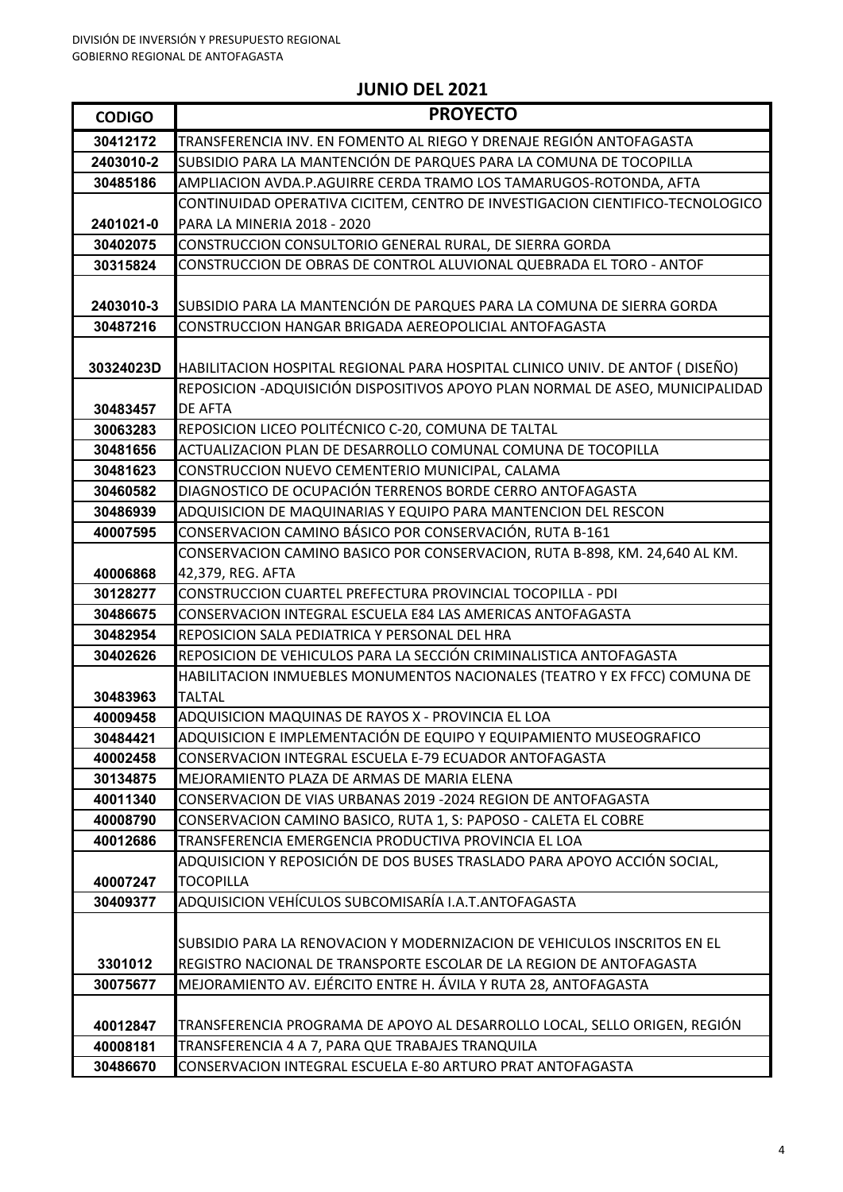| <b>CODIGO</b>        | <b>PROYECTO</b>                                                                                                                        |
|----------------------|----------------------------------------------------------------------------------------------------------------------------------------|
| 30412172             | TRANSFERENCIA INV. EN FOMENTO AL RIEGO Y DRENAJE REGIÓN ANTOFAGASTA                                                                    |
| 2403010-2            | SUBSIDIO PARA LA MANTENCIÓN DE PARQUES PARA LA COMUNA DE TOCOPILLA                                                                     |
| 30485186             | AMPLIACION AVDA.P.AGUIRRE CERDA TRAMO LOS TAMARUGOS-ROTONDA, AFTA                                                                      |
|                      | CONTINUIDAD OPERATIVA CICITEM, CENTRO DE INVESTIGACION CIENTIFICO-TECNOLOGICO                                                          |
| 2401021-0            | PARA LA MINERIA 2018 - 2020                                                                                                            |
| 30402075             | CONSTRUCCION CONSULTORIO GENERAL RURAL, DE SIERRA GORDA                                                                                |
| 30315824             | CONSTRUCCION DE OBRAS DE CONTROL ALUVIONAL QUEBRADA EL TORO - ANTOF                                                                    |
|                      |                                                                                                                                        |
| 2403010-3            | SUBSIDIO PARA LA MANTENCIÓN DE PARQUES PARA LA COMUNA DE SIERRA GORDA                                                                  |
| 30487216             | CONSTRUCCION HANGAR BRIGADA AEREOPOLICIAL ANTOFAGASTA                                                                                  |
|                      |                                                                                                                                        |
| 30324023D            | HABILITACION HOSPITAL REGIONAL PARA HOSPITAL CLINICO UNIV. DE ANTOF ( DISEÑO)                                                          |
|                      | REPOSICION -ADQUISICIÓN DISPOSITIVOS APOYO PLAN NORMAL DE ASEO, MUNICIPALIDAD                                                          |
| 30483457<br>30063283 | <b>DE AFTA</b><br>REPOSICION LICEO POLITÉCNICO C-20, COMUNA DE TALTAL                                                                  |
| 30481656             | ACTUALIZACION PLAN DE DESARROLLO COMUNAL COMUNA DE TOCOPILLA                                                                           |
| 30481623             | CONSTRUCCION NUEVO CEMENTERIO MUNICIPAL, CALAMA                                                                                        |
| 30460582             | DIAGNOSTICO DE OCUPACIÓN TERRENOS BORDE CERRO ANTOFAGASTA                                                                              |
| 30486939             | ADQUISICION DE MAQUINARIAS Y EQUIPO PARA MANTENCION DEL RESCON                                                                         |
| 40007595             | CONSERVACION CAMINO BÁSICO POR CONSERVACIÓN, RUTA B-161                                                                                |
|                      | CONSERVACION CAMINO BASICO POR CONSERVACION, RUTA B-898, KM. 24,640 AL KM.                                                             |
| 40006868             | 42,379, REG. AFTA                                                                                                                      |
| 30128277             | CONSTRUCCION CUARTEL PREFECTURA PROVINCIAL TOCOPILLA - PDI                                                                             |
| 30486675             | CONSERVACION INTEGRAL ESCUELA E84 LAS AMERICAS ANTOFAGASTA                                                                             |
| 30482954             | REPOSICION SALA PEDIATRICA Y PERSONAL DEL HRA                                                                                          |
| 30402626             | REPOSICION DE VEHICULOS PARA LA SECCIÓN CRIMINALISTICA ANTOFAGASTA                                                                     |
|                      | HABILITACION INMUEBLES MONUMENTOS NACIONALES (TEATRO Y EX FFCC) COMUNA DE                                                              |
| 30483963             | <b>TALTAL</b>                                                                                                                          |
| 40009458             | ADQUISICION MAQUINAS DE RAYOS X - PROVINCIA EL LOA                                                                                     |
| 30484421             | ADQUISICION E IMPLEMENTACIÓN DE EQUIPO Y EQUIPAMIENTO MUSEOGRAFICO                                                                     |
| 40002458             | CONSERVACION INTEGRAL ESCUELA E-79 ECUADOR ANTOFAGASTA                                                                                 |
| 30134875             | MEJORAMIENTO PLAZA DE ARMAS DE MARIA ELENA                                                                                             |
| 40011340             | CONSERVACION DE VIAS URBANAS 2019 -2024 REGION DE ANTOFAGASTA                                                                          |
| 40008790             | CONSERVACION CAMINO BASICO, RUTA 1, S: PAPOSO - CALETA EL COBRE                                                                        |
| 40012686             | TRANSFERENCIA EMERGENCIA PRODUCTIVA PROVINCIA EL LOA                                                                                   |
|                      | ADQUISICION Y REPOSICIÓN DE DOS BUSES TRASLADO PARA APOYO ACCIÓN SOCIAL,                                                               |
| 40007247             | <b>TOCOPILLA</b>                                                                                                                       |
| 30409377             | ADQUISICION VEHÍCULOS SUBCOMISARÍA I.A.T.ANTOFAGASTA                                                                                   |
|                      |                                                                                                                                        |
|                      | SUBSIDIO PARA LA RENOVACION Y MODERNIZACION DE VEHICULOS INSCRITOS EN EL                                                               |
| 3301012              | REGISTRO NACIONAL DE TRANSPORTE ESCOLAR DE LA REGION DE ANTOFAGASTA<br>MEJORAMIENTO AV. EJÉRCITO ENTRE H. ÁVILA Y RUTA 28, ANTOFAGASTA |
| 30075677             |                                                                                                                                        |
| 40012847             | TRANSFERENCIA PROGRAMA DE APOYO AL DESARROLLO LOCAL, SELLO ORIGEN, REGIÓN                                                              |
| 40008181             | TRANSFERENCIA 4 A 7, PARA QUE TRABAJES TRANQUILA                                                                                       |
| 30486670             | CONSERVACION INTEGRAL ESCUELA E-80 ARTURO PRAT ANTOFAGASTA                                                                             |
|                      |                                                                                                                                        |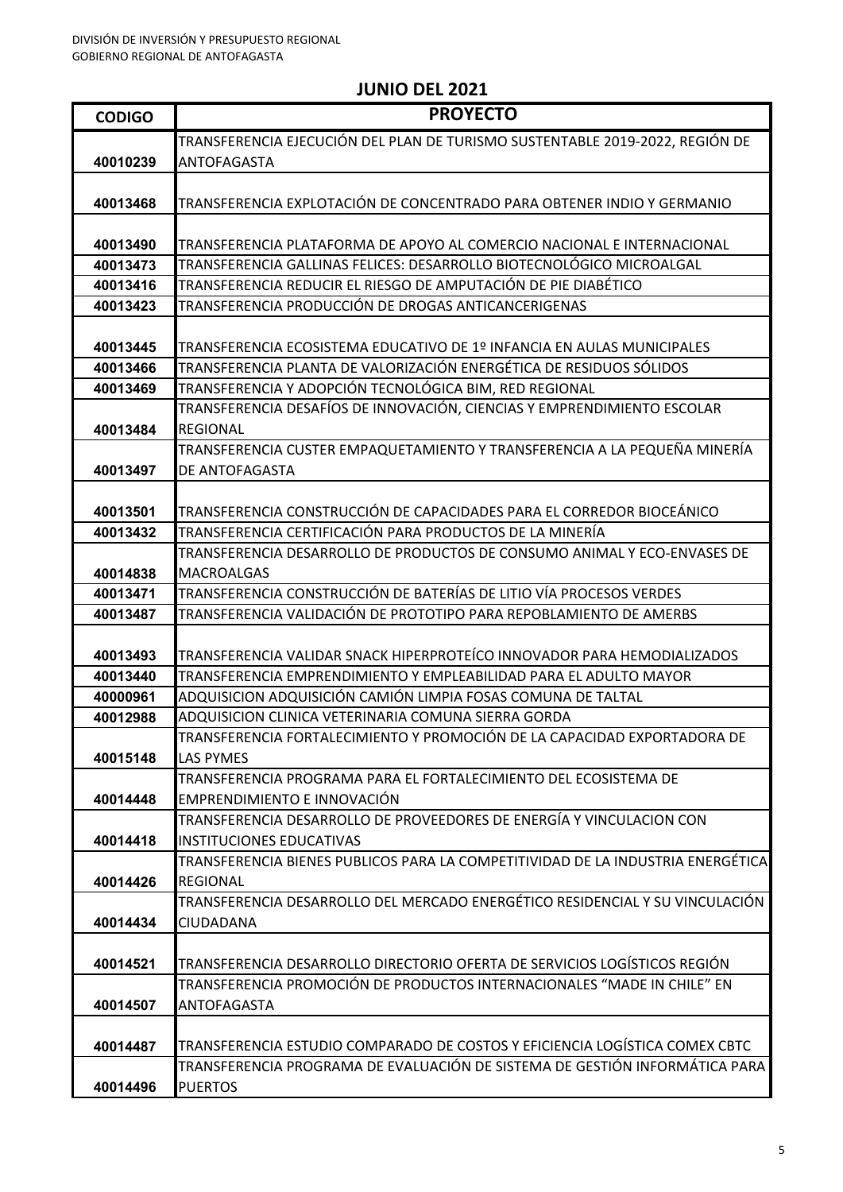| <b>CODIGO</b> | <b>PROYECTO</b>                                                                                 |
|---------------|-------------------------------------------------------------------------------------------------|
|               | TRANSFERENCIA EJECUCIÓN DEL PLAN DE TURISMO SUSTENTABLE 2019-2022, REGIÓN DE                    |
| 40010239      | <b>ANTOFAGASTA</b>                                                                              |
|               |                                                                                                 |
| 40013468      | TRANSFERENCIA EXPLOTACIÓN DE CONCENTRADO PARA OBTENER INDIO Y GERMANIO                          |
|               |                                                                                                 |
| 40013490      | TRANSFERENCIA PLATAFORMA DE APOYO AL COMERCIO NACIONAL E INTERNACIONAL                          |
| 40013473      | TRANSFERENCIA GALLINAS FELICES: DESARROLLO BIOTECNOLÓGICO MICROALGAL                            |
| 40013416      | TRANSFERENCIA REDUCIR EL RIESGO DE AMPUTACIÓN DE PIE DIABÉTICO                                  |
| 40013423      | TRANSFERENCIA PRODUCCIÓN DE DROGAS ANTICANCERIGENAS                                             |
|               |                                                                                                 |
| 40013445      | TRANSFERENCIA ECOSISTEMA EDUCATIVO DE 1º INFANCIA EN AULAS MUNICIPALES                          |
| 40013466      | TRANSFERENCIA PLANTA DE VALORIZACIÓN ENERGÉTICA DE RESIDUOS SÓLIDOS                             |
| 40013469      | TRANSFERENCIA Y ADOPCIÓN TECNOLÓGICA BIM, RED REGIONAL                                          |
|               | TRANSFERENCIA DESAFÍOS DE INNOVACIÓN, CIENCIAS Y EMPRENDIMIENTO ESCOLAR                         |
| 40013484      | <b>REGIONAL</b>                                                                                 |
|               | TRANSFERENCIA CUSTER EMPAQUETAMIENTO Y TRANSFERENCIA A LA PEQUEÑA MINERÍA                       |
| 40013497      | DE ANTOFAGASTA                                                                                  |
|               |                                                                                                 |
| 40013501      | TRANSFERENCIA CONSTRUCCIÓN DE CAPACIDADES PARA EL CORREDOR BIOCEÁNICO                           |
| 40013432      | TRANSFERENCIA CERTIFICACIÓN PARA PRODUCTOS DE LA MINERÍA                                        |
|               | TRANSFERENCIA DESARROLLO DE PRODUCTOS DE CONSUMO ANIMAL Y ECO-ENVASES DE                        |
| 40014838      | <b>MACROALGAS</b>                                                                               |
| 40013471      | TRANSFERENCIA CONSTRUCCIÓN DE BATERÍAS DE LITIO VÍA PROCESOS VERDES                             |
| 40013487      | TRANSFERENCIA VALIDACIÓN DE PROTOTIPO PARA REPOBLAMIENTO DE AMERBS                              |
|               |                                                                                                 |
| 40013493      | TRANSFERENCIA VALIDAR SNACK HIPERPROTEÍCO INNOVADOR PARA HEMODIALIZADOS                         |
| 40013440      | TRANSFERENCIA EMPRENDIMIENTO Y EMPLEABILIDAD PARA EL ADULTO MAYOR                               |
| 40000961      | ADQUISICION ADQUISICIÓN CAMIÓN LIMPIA FOSAS COMUNA DE TALTAL                                    |
| 40012988      | ADQUISICION CLINICA VETERINARIA COMUNA SIERRA GORDA                                             |
|               | TRANSFERENCIA FORTALECIMIENTO Y PROMOCIÓN DE LA CAPACIDAD EXPORTADORA DE                        |
| 40015148      | <b>LAS PYMES</b>                                                                                |
|               | TRANSFERENCIA PROGRAMA PARA EL FORTALECIMIENTO DEL ECOSISTEMA DE                                |
| 40014448      | EMPRENDIMIENTO E INNOVACIÓN                                                                     |
|               | TRANSFERENCIA DESARROLLO DE PROVEEDORES DE ENERGÍA Y VINCULACION CON                            |
| 40014418      | <b>IINSTITUCIONES EDUCATIVAS</b>                                                                |
|               | TRANSFERENCIA BIENES PUBLICOS PARA LA COMPETITIVIDAD DE LA INDUSTRIA ENERGÉTICA                 |
| 40014426      | <b>REGIONAL</b><br>TRANSFERENCIA DESARROLLO DEL MERCADO ENERGÉTICO RESIDENCIAL Y SU VINCULACIÓN |
|               | ICIUDADANA                                                                                      |
| 40014434      |                                                                                                 |
| 40014521      | TRANSFERENCIA DESARROLLO DIRECTORIO OFERTA DE SERVICIOS LOGÍSTICOS REGIÓN                       |
|               | TRANSFERENCIA PROMOCIÓN DE PRODUCTOS INTERNACIONALES "MADE IN CHILE" EN                         |
| 40014507      | <b>ANTOFAGASTA</b>                                                                              |
|               |                                                                                                 |
| 40014487      | TRANSFERENCIA ESTUDIO COMPARADO DE COSTOS Y EFICIENCIA LOGÍSTICA COMEX CBTC                     |
|               | TRANSFERENCIA PROGRAMA DE EVALUACIÓN DE SISTEMA DE GESTIÓN INFORMÁTICA PARA                     |
| 40014496      | <b>PUERTOS</b>                                                                                  |
|               |                                                                                                 |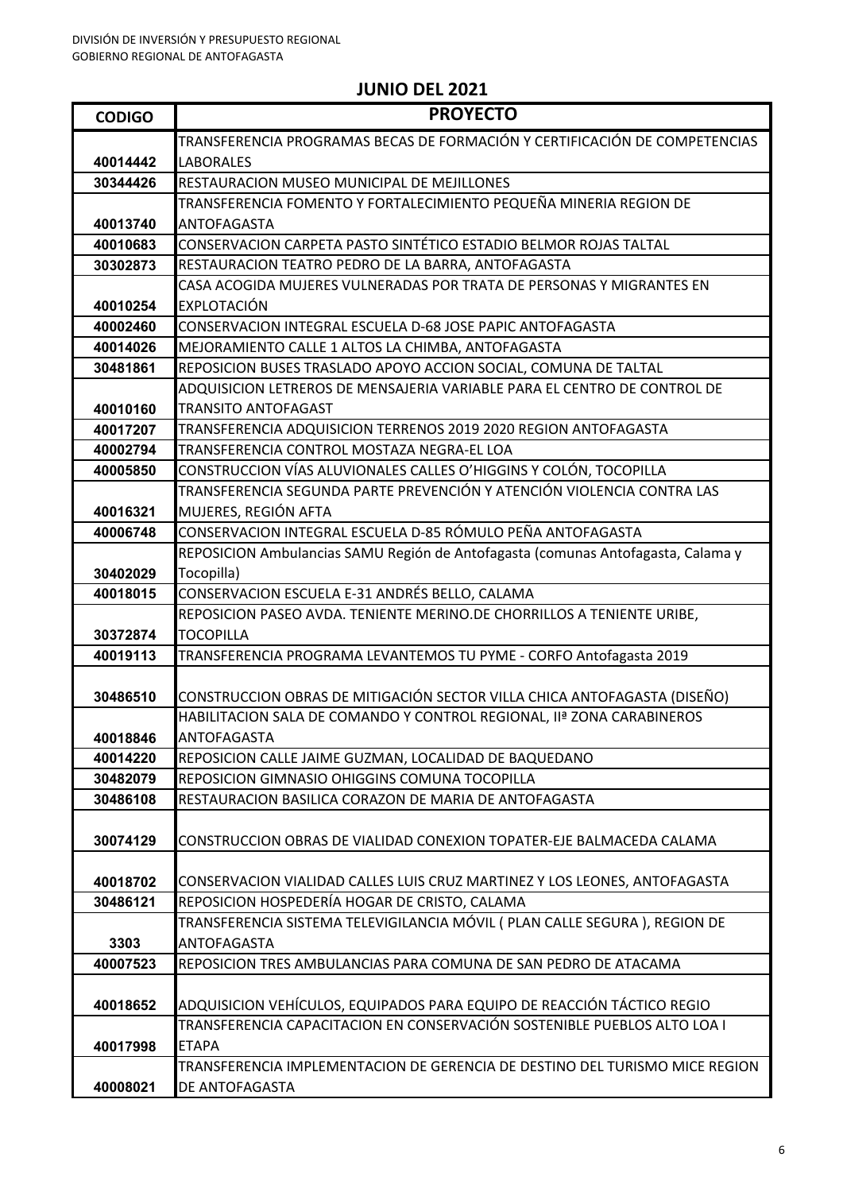| <b>CODIGO</b> | <b>PROYECTO</b>                                                                                                                                   |
|---------------|---------------------------------------------------------------------------------------------------------------------------------------------------|
|               | TRANSFERENCIA PROGRAMAS BECAS DE FORMACIÓN Y CERTIFICACIÓN DE COMPETENCIAS                                                                        |
| 40014442      | <b>LABORALES</b>                                                                                                                                  |
| 30344426      | RESTAURACION MUSEO MUNICIPAL DE MEJILLONES                                                                                                        |
|               | TRANSFERENCIA FOMENTO Y FORTALECIMIENTO PEQUEÑA MINERIA REGION DE                                                                                 |
| 40013740      | <b>ANTOFAGASTA</b>                                                                                                                                |
| 40010683      | CONSERVACION CARPETA PASTO SINTÉTICO ESTADIO BELMOR ROJAS TALTAL                                                                                  |
| 30302873      | RESTAURACION TEATRO PEDRO DE LA BARRA, ANTOFAGASTA                                                                                                |
|               | CASA ACOGIDA MUJERES VULNERADAS POR TRATA DE PERSONAS Y MIGRANTES EN                                                                              |
| 40010254      | <b>EXPLOTACIÓN</b>                                                                                                                                |
| 40002460      | CONSERVACION INTEGRAL ESCUELA D-68 JOSE PAPIC ANTOFAGASTA                                                                                         |
| 40014026      | MEJORAMIENTO CALLE 1 ALTOS LA CHIMBA, ANTOFAGASTA                                                                                                 |
| 30481861      | REPOSICION BUSES TRASLADO APOYO ACCION SOCIAL, COMUNA DE TALTAL                                                                                   |
|               | ADQUISICION LETREROS DE MENSAJERIA VARIABLE PARA EL CENTRO DE CONTROL DE                                                                          |
| 40010160      | <b>TRANSITO ANTOFAGAST</b>                                                                                                                        |
| 40017207      | TRANSFERENCIA ADQUISICION TERRENOS 2019 2020 REGION ANTOFAGASTA                                                                                   |
| 40002794      | TRANSFERENCIA CONTROL MOSTAZA NEGRA-EL LOA                                                                                                        |
| 40005850      | CONSTRUCCION VÍAS ALUVIONALES CALLES O'HIGGINS Y COLÓN, TOCOPILLA                                                                                 |
|               | TRANSFERENCIA SEGUNDA PARTE PREVENCIÓN Y ATENCIÓN VIOLENCIA CONTRA LAS                                                                            |
| 40016321      | MUJERES, REGIÓN AFTA                                                                                                                              |
| 40006748      | CONSERVACION INTEGRAL ESCUELA D-85 RÓMULO PEÑA ANTOFAGASTA                                                                                        |
|               | REPOSICION Ambulancias SAMU Región de Antofagasta (comunas Antofagasta, Calama y                                                                  |
| 30402029      | Tocopilla)                                                                                                                                        |
| 40018015      | CONSERVACION ESCUELA E-31 ANDRÉS BELLO, CALAMA                                                                                                    |
|               | REPOSICION PASEO AVDA. TENIENTE MERINO.DE CHORRILLOS A TENIENTE URIBE,                                                                            |
| 30372874      | <b>TOCOPILLA</b>                                                                                                                                  |
| 40019113      | TRANSFERENCIA PROGRAMA LEVANTEMOS TU PYME - CORFO Antofagasta 2019                                                                                |
|               |                                                                                                                                                   |
| 30486510      | CONSTRUCCION OBRAS DE MITIGACIÓN SECTOR VILLA CHICA ANTOFAGASTA (DISEÑO)<br>HABILITACION SALA DE COMANDO Y CONTROL REGIONAL, IIª ZONA CARABINEROS |
| 40018846      | ANTOFAGASTA                                                                                                                                       |
| 40014220      | REPOSICION CALLE JAIME GUZMAN, LOCALIDAD DE BAQUEDANO                                                                                             |
| 30482079      | REPOSICION GIMNASIO OHIGGINS COMUNA TOCOPILLA                                                                                                     |
| 30486108      | RESTAURACION BASILICA CORAZON DE MARIA DE ANTOFAGASTA                                                                                             |
|               |                                                                                                                                                   |
| 30074129      | CONSTRUCCION OBRAS DE VIALIDAD CONEXION TOPATER-EJE BALMACEDA CALAMA                                                                              |
|               |                                                                                                                                                   |
| 40018702      | CONSERVACION VIALIDAD CALLES LUIS CRUZ MARTINEZ Y LOS LEONES, ANTOFAGASTA                                                                         |
| 30486121      | REPOSICION HOSPEDERÍA HOGAR DE CRISTO, CALAMA                                                                                                     |
|               | TRANSFERENCIA SISTEMA TELEVIGILANCIA MÓVIL ( PLAN CALLE SEGURA ), REGION DE                                                                       |
| 3303          | ANTOFAGASTA                                                                                                                                       |
| 40007523      | REPOSICION TRES AMBULANCIAS PARA COMUNA DE SAN PEDRO DE ATACAMA                                                                                   |
|               |                                                                                                                                                   |
| 40018652      | ADQUISICION VEHÍCULOS, EQUIPADOS PARA EQUIPO DE REACCIÓN TÁCTICO REGIO                                                                            |
|               | TRANSFERENCIA CAPACITACION EN CONSERVACIÓN SOSTENIBLE PUEBLOS ALTO LOA I                                                                          |
| 40017998      | <b>ETAPA</b>                                                                                                                                      |
|               | TRANSFERENCIA IMPLEMENTACION DE GERENCIA DE DESTINO DEL TURISMO MICE REGION                                                                       |
| 40008021      | DE ANTOFAGASTA                                                                                                                                    |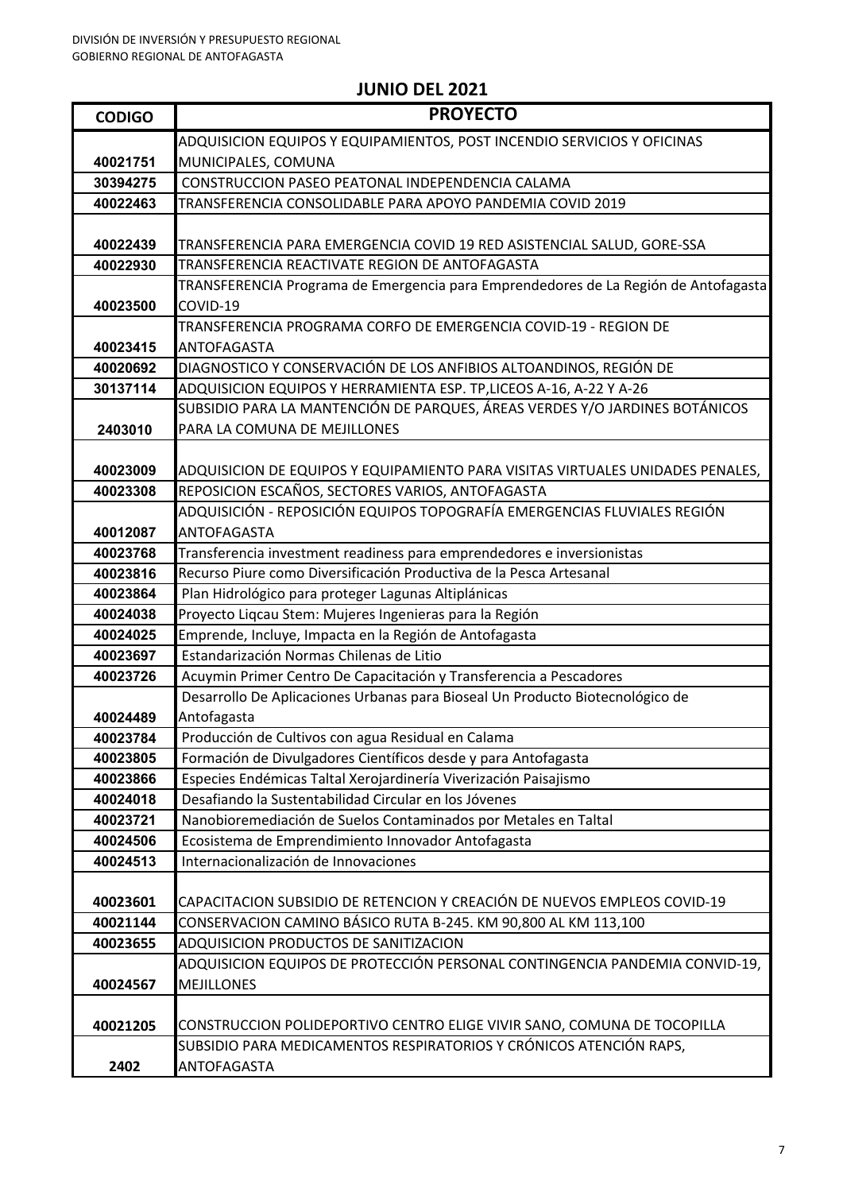| <b>CODIGO</b> | <b>PROYECTO</b>                                                                                                                               |
|---------------|-----------------------------------------------------------------------------------------------------------------------------------------------|
|               | ADQUISICION EQUIPOS Y EQUIPAMIENTOS, POST INCENDIO SERVICIOS Y OFICINAS                                                                       |
| 40021751      | MUNICIPALES, COMUNA                                                                                                                           |
| 30394275      | CONSTRUCCION PASEO PEATONAL INDEPENDENCIA CALAMA                                                                                              |
| 40022463      | TRANSFERENCIA CONSOLIDABLE PARA APOYO PANDEMIA COVID 2019                                                                                     |
|               |                                                                                                                                               |
| 40022439      | TRANSFERENCIA PARA EMERGENCIA COVID 19 RED ASISTENCIAL SALUD, GORE-SSA                                                                        |
| 40022930      | TRANSFERENCIA REACTIVATE REGION DE ANTOFAGASTA                                                                                                |
|               | TRANSFERENCIA Programa de Emergencia para Emprendedores de La Región de Antofagasta                                                           |
| 40023500      | COVID-19                                                                                                                                      |
|               | TRANSFERENCIA PROGRAMA CORFO DE EMERGENCIA COVID-19 - REGION DE                                                                               |
| 40023415      | ANTOFAGASTA                                                                                                                                   |
| 40020692      | DIAGNOSTICO Y CONSERVACIÓN DE LOS ANFIBIOS ALTOANDINOS, REGIÓN DE                                                                             |
| 30137114      | ADQUISICION EQUIPOS Y HERRAMIENTA ESP. TP,LICEOS A-16, A-22 Y A-26                                                                            |
|               | SUBSIDIO PARA LA MANTENCIÓN DE PARQUES, ÁREAS VERDES Y/O JARDINES BOTÁNICOS                                                                   |
| 2403010       | PARA LA COMUNA DE MEJILLONES                                                                                                                  |
|               |                                                                                                                                               |
| 40023009      | ADQUISICION DE EQUIPOS Y EQUIPAMIENTO PARA VISITAS VIRTUALES UNIDADES PENALES,                                                                |
| 40023308      | REPOSICION ESCAÑOS, SECTORES VARIOS, ANTOFAGASTA                                                                                              |
|               | ADQUISICIÓN - REPOSICIÓN EQUIPOS TOPOGRAFÍA EMERGENCIAS FLUVIALES REGIÓN                                                                      |
| 40012087      | ANTOFAGASTA                                                                                                                                   |
| 40023768      | Transferencia investment readiness para emprendedores e inversionistas                                                                        |
| 40023816      | Recurso Piure como Diversificación Productiva de la Pesca Artesanal                                                                           |
| 40023864      | Plan Hidrológico para proteger Lagunas Altiplánicas                                                                                           |
| 40024038      | Proyecto Liqcau Stem: Mujeres Ingenieras para la Región                                                                                       |
| 40024025      | Emprende, Incluye, Impacta en la Región de Antofagasta                                                                                        |
| 40023697      | Estandarización Normas Chilenas de Litio                                                                                                      |
| 40023726      | Acuymin Primer Centro De Capacitación y Transferencia a Pescadores                                                                            |
|               | Desarrollo De Aplicaciones Urbanas para Bioseal Un Producto Biotecnológico de                                                                 |
| 40024489      | Antofagasta                                                                                                                                   |
| 40023784      | Producción de Cultivos con agua Residual en Calama                                                                                            |
| 40023805      | Formación de Divulgadores Científicos desde y para Antofagasta                                                                                |
| 40023866      | Especies Endémicas Taltal Xerojardinería Viverización Paisajismo                                                                              |
| 40024018      | Desafiando la Sustentabilidad Circular en los Jóvenes                                                                                         |
| 40023721      | Nanobioremediación de Suelos Contaminados por Metales en Taltal                                                                               |
| 40024506      | Ecosistema de Emprendimiento Innovador Antofagasta                                                                                            |
| 40024513      | Internacionalización de Innovaciones                                                                                                          |
|               |                                                                                                                                               |
| 40023601      | CAPACITACION SUBSIDIO DE RETENCION Y CREACIÓN DE NUEVOS EMPLEOS COVID-19                                                                      |
| 40021144      | CONSERVACION CAMINO BÁSICO RUTA B-245. KM 90,800 AL KM 113,100                                                                                |
| 40023655      | ADQUISICION PRODUCTOS DE SANITIZACION                                                                                                         |
|               | ADQUISICION EQUIPOS DE PROTECCIÓN PERSONAL CONTINGENCIA PANDEMIA CONVID-19,                                                                   |
| 40024567      | <b>MEJILLONES</b>                                                                                                                             |
|               |                                                                                                                                               |
| 40021205      | CONSTRUCCION POLIDEPORTIVO CENTRO ELIGE VIVIR SANO, COMUNA DE TOCOPILLA<br>SUBSIDIO PARA MEDICAMENTOS RESPIRATORIOS Y CRÓNICOS ATENCIÓN RAPS, |
|               | ANTOFAGASTA                                                                                                                                   |
| 2402          |                                                                                                                                               |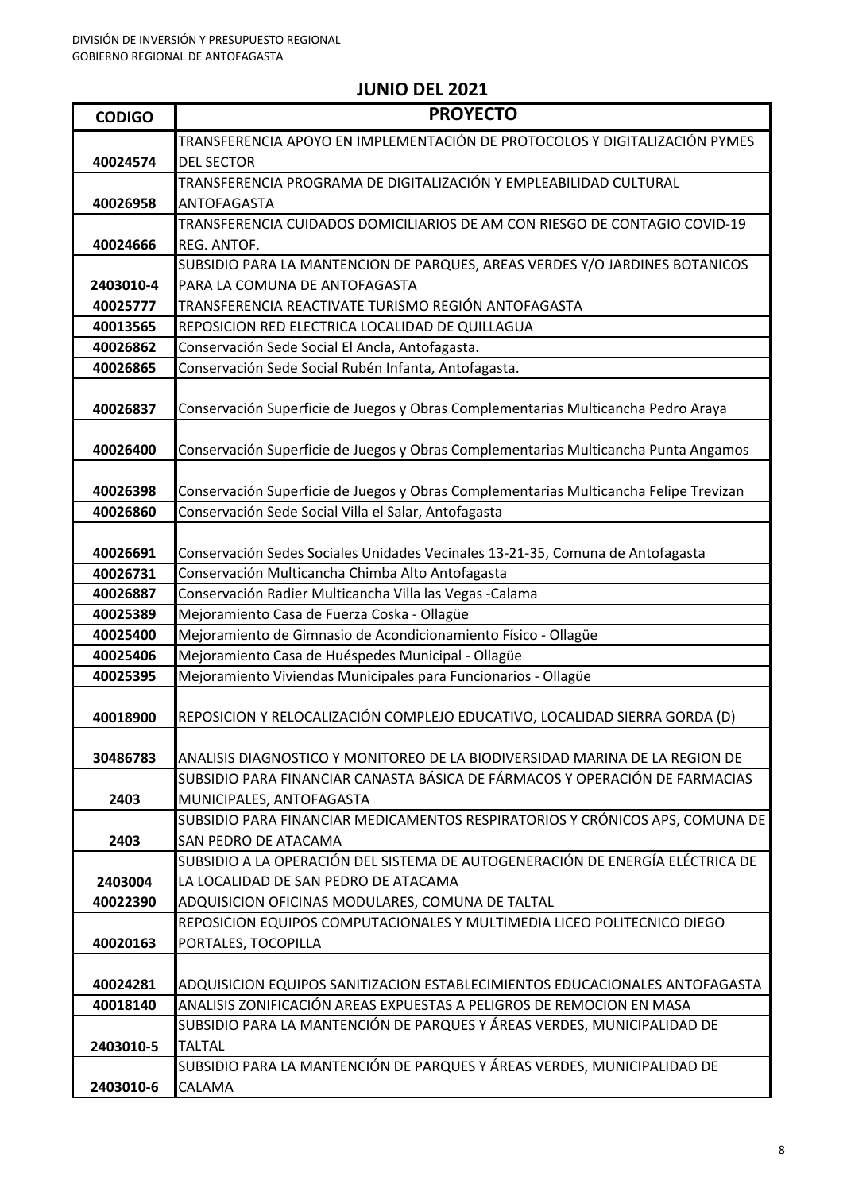| <b>CODIGO</b> | <b>PROYECTO</b>                                                                                                                                            |
|---------------|------------------------------------------------------------------------------------------------------------------------------------------------------------|
|               | TRANSFERENCIA APOYO EN IMPLEMENTACIÓN DE PROTOCOLOS Y DIGITALIZACIÓN PYMES                                                                                 |
| 40024574      | <b>DEL SECTOR</b>                                                                                                                                          |
|               | TRANSFERENCIA PROGRAMA DE DIGITALIZACIÓN Y EMPLEABILIDAD CULTURAL                                                                                          |
| 40026958      | <b>ANTOFAGASTA</b>                                                                                                                                         |
|               | TRANSFERENCIA CUIDADOS DOMICILIARIOS DE AM CON RIESGO DE CONTAGIO COVID-19                                                                                 |
| 40024666      | REG. ANTOF.                                                                                                                                                |
|               | SUBSIDIO PARA LA MANTENCION DE PARQUES, AREAS VERDES Y/O JARDINES BOTANICOS                                                                                |
| 2403010-4     | PARA LA COMUNA DE ANTOFAGASTA                                                                                                                              |
| 40025777      | TRANSFERENCIA REACTIVATE TURISMO REGIÓN ANTOFAGASTA                                                                                                        |
| 40013565      | REPOSICION RED ELECTRICA LOCALIDAD DE QUILLAGUA                                                                                                            |
| 40026862      | Conservación Sede Social El Ancla, Antofagasta.                                                                                                            |
| 40026865      | Conservación Sede Social Rubén Infanta, Antofagasta.                                                                                                       |
| 40026837      | Conservación Superficie de Juegos y Obras Complementarias Multicancha Pedro Araya                                                                          |
|               |                                                                                                                                                            |
| 40026400      | Conservación Superficie de Juegos y Obras Complementarias Multicancha Punta Angamos                                                                        |
|               |                                                                                                                                                            |
| 40026398      | Conservación Superficie de Juegos y Obras Complementarias Multicancha Felipe Trevizan                                                                      |
| 40026860      | Conservación Sede Social Villa el Salar, Antofagasta                                                                                                       |
|               |                                                                                                                                                            |
| 40026691      | Conservación Sedes Sociales Unidades Vecinales 13-21-35, Comuna de Antofagasta                                                                             |
| 40026731      | Conservación Multicancha Chimba Alto Antofagasta                                                                                                           |
| 40026887      | Conservación Radier Multicancha Villa las Vegas -Calama                                                                                                    |
| 40025389      | Mejoramiento Casa de Fuerza Coska - Ollagüe                                                                                                                |
| 40025400      | Mejoramiento de Gimnasio de Acondicionamiento Físico - Ollagüe                                                                                             |
| 40025406      | Mejoramiento Casa de Huéspedes Municipal - Ollagüe                                                                                                         |
| 40025395      | Mejoramiento Viviendas Municipales para Funcionarios - Ollagüe                                                                                             |
|               |                                                                                                                                                            |
| 40018900      | REPOSICION Y RELOCALIZACIÓN COMPLEJO EDUCATIVO, LOCALIDAD SIERRA GORDA (D)                                                                                 |
|               |                                                                                                                                                            |
| 30486783      | ANALISIS DIAGNOSTICO Y MONITOREO DE LA BIODIVERSIDAD MARINA DE LA REGION DE<br>SUBSIDIO PARA FINANCIAR CANASTA BÁSICA DE FÁRMACOS Y OPERACIÓN DE FARMACIAS |
| 2403          | MUNICIPALES, ANTOFAGASTA                                                                                                                                   |
|               | SUBSIDIO PARA FINANCIAR MEDICAMENTOS RESPIRATORIOS Y CRÓNICOS APS, COMUNA DE                                                                               |
| 2403          | <b>SAN PEDRO DE ATACAMA</b>                                                                                                                                |
|               | SUBSIDIO A LA OPERACIÓN DEL SISTEMA DE AUTOGENERACIÓN DE ENERGÍA ELÉCTRICA DE                                                                              |
| 2403004       | LA LOCALIDAD DE SAN PEDRO DE ATACAMA                                                                                                                       |
| 40022390      | ADQUISICION OFICINAS MODULARES, COMUNA DE TALTAL                                                                                                           |
|               | REPOSICION EQUIPOS COMPUTACIONALES Y MULTIMEDIA LICEO POLITECNICO DIEGO                                                                                    |
| 40020163      | PORTALES, TOCOPILLA                                                                                                                                        |
|               |                                                                                                                                                            |
| 40024281      | ADQUISICION EQUIPOS SANITIZACION ESTABLECIMIENTOS EDUCACIONALES ANTOFAGASTA                                                                                |
| 40018140      | ANALISIS ZONIFICACIÓN AREAS EXPUESTAS A PELIGROS DE REMOCION EN MASA                                                                                       |
|               | SUBSIDIO PARA LA MANTENCIÓN DE PARQUES Y ÁREAS VERDES, MUNICIPALIDAD DE                                                                                    |
| 2403010-5     | <b>TALTAL</b>                                                                                                                                              |
|               | SUBSIDIO PARA LA MANTENCIÓN DE PARQUES Y ÁREAS VERDES, MUNICIPALIDAD DE                                                                                    |
| 2403010-6     | CALAMA                                                                                                                                                     |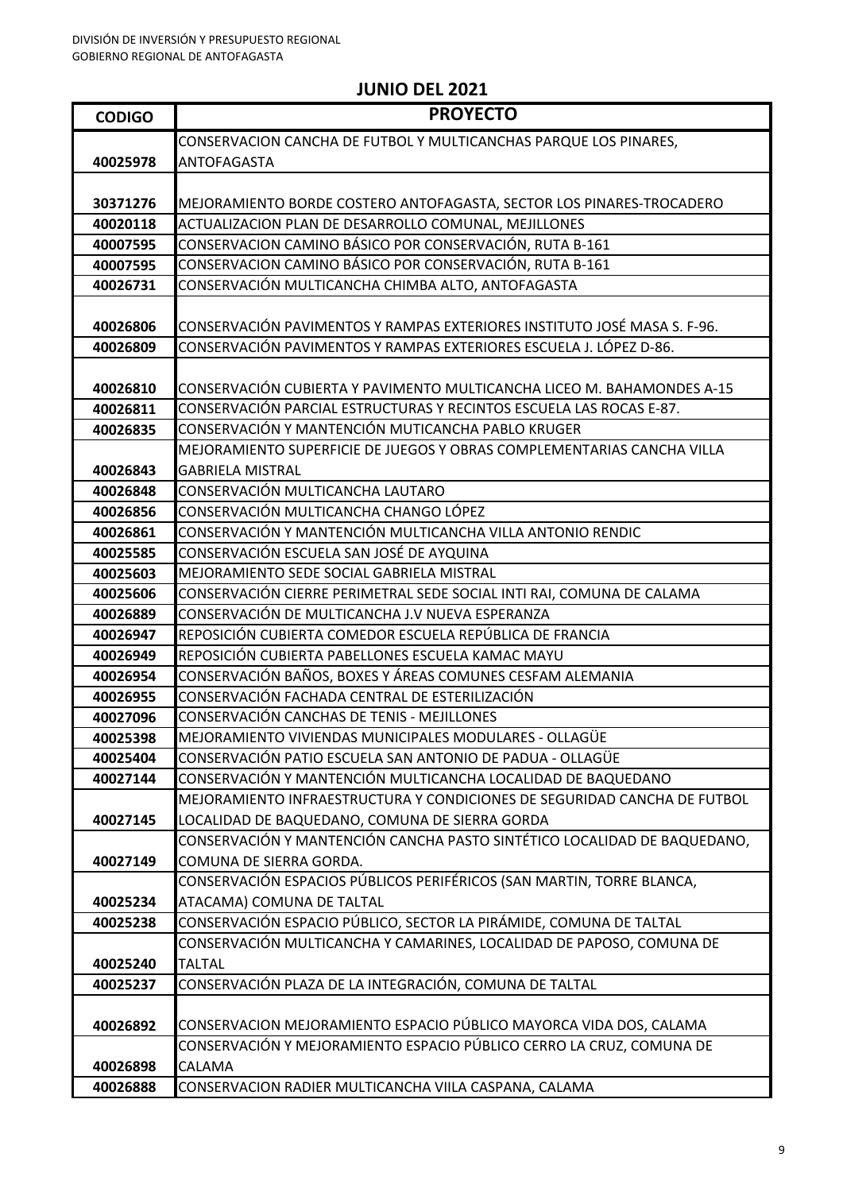| <b>CODIGO</b> | <b>PROYECTO</b>                                                                                 |
|---------------|-------------------------------------------------------------------------------------------------|
|               | CONSERVACION CANCHA DE FUTBOL Y MULTICANCHAS PARQUE LOS PINARES,                                |
| 40025978      | <b>ANTOFAGASTA</b>                                                                              |
|               |                                                                                                 |
| 30371276      | MEJORAMIENTO BORDE COSTERO ANTOFAGASTA, SECTOR LOS PINARES-TROCADERO                            |
| 40020118      | ACTUALIZACION PLAN DE DESARROLLO COMUNAL, MEJILLONES                                            |
| 40007595      | CONSERVACION CAMINO BÁSICO POR CONSERVACIÓN, RUTA B-161                                         |
| 40007595      | CONSERVACION CAMINO BÁSICO POR CONSERVACIÓN, RUTA B-161                                         |
| 40026731      | CONSERVACIÓN MULTICANCHA CHIMBA ALTO, ANTOFAGASTA                                               |
|               |                                                                                                 |
| 40026806      | CONSERVACIÓN PAVIMENTOS Y RAMPAS EXTERIORES INSTITUTO JOSÉ MASA S. F-96.                        |
| 40026809      | CONSERVACIÓN PAVIMENTOS Y RAMPAS EXTERIORES ESCUELA J. LÓPEZ D-86.                              |
|               |                                                                                                 |
| 40026810      | CONSERVACIÓN CUBIERTA Y PAVIMENTO MULTICANCHA LICEO M. BAHAMONDES A-15                          |
| 40026811      | CONSERVACIÓN PARCIAL ESTRUCTURAS Y RECINTOS ESCUELA LAS ROCAS E-87.                             |
| 40026835      | CONSERVACIÓN Y MANTENCIÓN MUTICANCHA PABLO KRUGER                                               |
|               | MEJORAMIENTO SUPERFICIE DE JUEGOS Y OBRAS COMPLEMENTARIAS CANCHA VILLA                          |
| 40026843      | <b>GABRIELA MISTRAL</b>                                                                         |
| 40026848      | CONSERVACIÓN MULTICANCHA LAUTARO                                                                |
| 40026856      | CONSERVACIÓN MULTICANCHA CHANGO LÓPEZ                                                           |
| 40026861      | CONSERVACIÓN Y MANTENCIÓN MULTICANCHA VILLA ANTONIO RENDIC                                      |
| 40025585      | CONSERVACIÓN ESCUELA SAN JOSÉ DE AYQUINA                                                        |
| 40025603      | MEJORAMIENTO SEDE SOCIAL GABRIELA MISTRAL                                                       |
| 40025606      | CONSERVACIÓN CIERRE PERIMETRAL SEDE SOCIAL INTI RAI, COMUNA DE CALAMA                           |
| 40026889      | CONSERVACIÓN DE MULTICANCHA J.V NUEVA ESPERANZA                                                 |
| 40026947      | REPOSICIÓN CUBIERTA COMEDOR ESCUELA REPÚBLICA DE FRANCIA                                        |
| 40026949      | REPOSICIÓN CUBIERTA PABELLONES ESCUELA KAMAC MAYU                                               |
| 40026954      | CONSERVACIÓN BAÑOS, BOXES Y ÁREAS COMUNES CESFAM ALEMANIA                                       |
| 40026955      | CONSERVACIÓN FACHADA CENTRAL DE ESTERILIZACIÓN                                                  |
| 40027096      | CONSERVACIÓN CANCHAS DE TENIS - MEJILLONES                                                      |
| 40025398      | MEJORAMIENTO VIVIENDAS MUNICIPALES MODULARES - OLLAGÜE                                          |
| 40025404      | CONSERVACIÓN PATIO ESCUELA SAN ANTONIO DE PADUA - OLLAGÜE                                       |
| 40027144      | CONSERVACIÓN Y MANTENCIÓN MULTICANCHA LOCALIDAD DE BAQUEDANO                                    |
|               | MEJORAMIENTO INFRAESTRUCTURA Y CONDICIONES DE SEGURIDAD CANCHA DE FUTBOL                        |
| 40027145      | LOCALIDAD DE BAQUEDANO, COMUNA DE SIERRA GORDA                                                  |
|               | CONSERVACIÓN Y MANTENCIÓN CANCHA PASTO SINTÉTICO LOCALIDAD DE BAQUEDANO,                        |
| 40027149      | COMUNA DE SIERRA GORDA.                                                                         |
|               | CONSERVACIÓN ESPACIOS PÚBLICOS PERIFÉRICOS (SAN MARTIN, TORRE BLANCA,                           |
| 40025234      | ATACAMA) COMUNA DE TALTAL<br>CONSERVACIÓN ESPACIO PÚBLICO, SECTOR LA PIRÁMIDE, COMUNA DE TALTAL |
| 40025238      |                                                                                                 |
| 40025240      | CONSERVACIÓN MULTICANCHA Y CAMARINES, LOCALIDAD DE PAPOSO, COMUNA DE<br><b>TALTAL</b>           |
| 40025237      | CONSERVACIÓN PLAZA DE LA INTEGRACIÓN, COMUNA DE TALTAL                                          |
|               |                                                                                                 |
| 40026892      | CONSERVACION MEJORAMIENTO ESPACIO PÚBLICO MAYORCA VIDA DOS, CALAMA                              |
|               | CONSERVACIÓN Y MEJORAMIENTO ESPACIO PÚBLICO CERRO LA CRUZ, COMUNA DE                            |
| 40026898      | CALAMA                                                                                          |
| 40026888      | CONSERVACION RADIER MULTICANCHA VIILA CASPANA, CALAMA                                           |
|               |                                                                                                 |